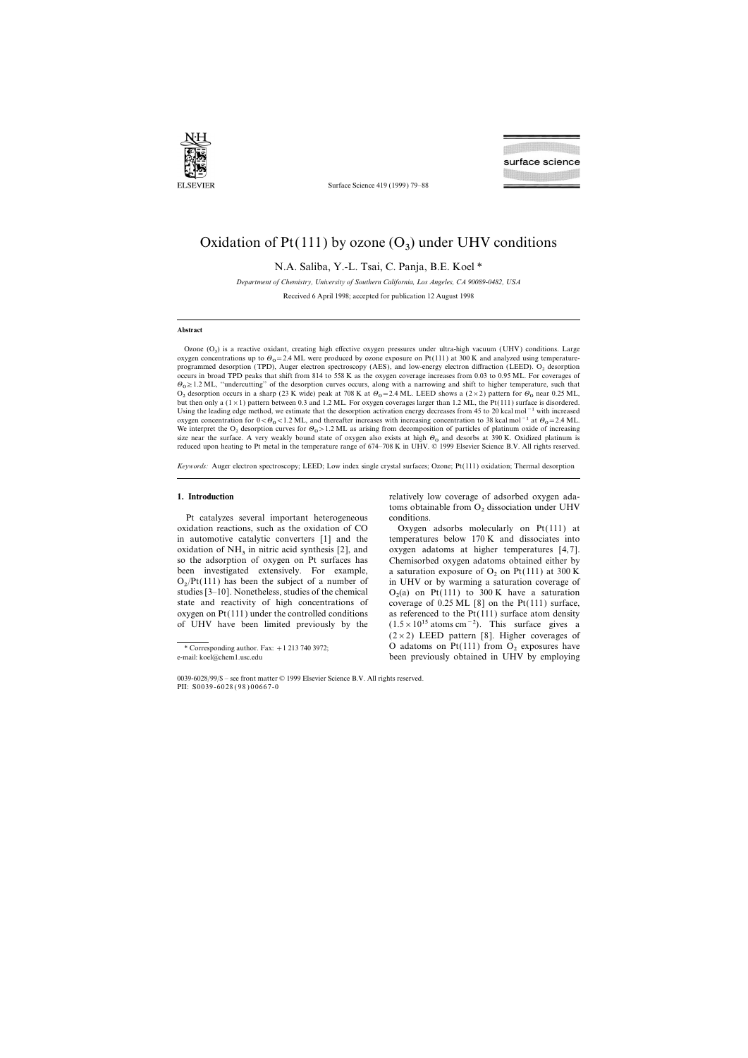

Surface Science 419 (1999) 79–88

# Oxidation of  $Pt(111)$  by ozone  $(O_3)$  under UHV conditions

N.A. Saliba, Y.-L. Tsai, C. Panja, B.E. Koel \*

*Department of Chemistry, Uni*v*ersity of Southern California, Los Angeles, CA 90089-0482, USA* Received 6 April 1998; accepted for publication 12 August 1998

## **Abstract**

Ozone  $(O_3)$  is a reactive oxidant, creating high effective oxygen pressures under ultra-high vacuum (UHV) conditions. Large oxygen concentrations up to  $\theta_0 = 2.4$  ML were produced by ozone exposure on Pt(111) at 300 K and analyzed using temperatureprogrammed desorption (TPD), Auger electron spectroscopy (AES), and low-energy electron diffraction (LEED). O<sub>2</sub> desorption occurs in broad TPD peaks that shift from 814 to 558 K as the oxygen coverage increases from 0.03 to 0.95 ML. For coverages of  $\Theta_0 \ge 1.2$  ML, "undercutting" of the desorption curves occurs, along with a narrowing and shift to higher temperature, such that  $\Omega_0 \ge 1.2$  ML and  $\Omega_0 \ge 1.2$  ML and  $\Omega_0 \ge 0.2$  method of  $\Omega_0$  and  $\Omega_0 \ge 0.2$  ML  $O_2$  desorption occurs in a sharp (23 K wide) peak at 708 K at  $\Theta_0$  = 2.4 ML. LEED shows a (2 × 2) pattern for  $\Theta_0$  near 0.25 ML, but then only a  $(1 \times 1)$  pattern between 0.3 and 1.2 ML. For oxygen coverages larger than 1.2 ML, the Pt(111) surface is disordered. Using the leading edge method, we estimate that the desorption activation energy decreases from 45 to 20 kcal mol−1 with increased oxygen concentration for  $0 < \theta_0 < 1.2$  ML, and thereafter increases with increasing concentration to 38 kcal mol<sup>-1</sup> at  $\theta_0 = 2.4$  ML. We interpret the O<sub>2</sub> desorption curves for  $\theta_0 > 1.2$  ML as arising from decomposition of particles of platinum oxide of increasing<br>in a sea the surface. A very wealth hand at the of survey also spirits at high O and de size near the surface. A very weakly bound state of oxygen also exists at high  $\Theta_0$  and desorbs at 390 K. Oxidized platinum is reduced upon heating to Pt metal in the temperature range of 674–708 K in UHV. © 1999 Elsevier Science B.V. All rights reserved.

*Keywords:* Auger electron spectroscopy; LEED; Low index single crystal surfaces; Ozone; Pt(111) oxidation; Thermal desorption

Pt catalyzes several important heterogeneous. oxidation reactions, such as the oxidation of  $CO$  Oxygen adsorbs molecularly on Pt(111) at in automotive catalytic converters [1] and the temperatures below 170 K and dissociates into oxidation of  $NH_3$  in nitric acid synthesis [2], and oxygen adatoms at higher temperatures [4,7].<br>so the adsorption of oxygen on Pt surfaces has Chemisorbed oxygen adatoms obtained either by so the adsorption of oxygen on Pt surfaces has been investigated extensively. For example, a saturation exposure of  $O_2$  on Pt(111) at 300 K  $O_2$ /Pt(111) has been the subject of a number of studies  $[3-10]$ . Nonetheless, studies of the chemical state and reactivity of high concentrations of oxygen on Pt(111) under the controlled conditions as referenced to the Pt(111) surface atom density

**1. Introduction 1. Introduction relatively low coverage of adsorbed oxygen ada**toms obtainable from  $O_2$  dissociation under UHV conditions.

in UHV or by warming a saturation coverage of  $O_2(a)$  on Pt(111) to 300 K have a saturation coverage of  $0.25$  ML [8] on the Pt(111) surface, of UHV have been limited previously by the  $(1.5 \times 10^{15} \text{ atoms cm}^{-2})$ . This surface gives a  $(2\times2)$  LEED pattern [8]. Higher coverages of <sup>\*</sup> Corresponding author. Fax: +1 213 740 3972;<br>
e-mail: koel@chem1.usc.edu<br>
been previously obtained in UHV by employing been previously obtained in UHV by employing

<sup>0039-6028</sup>/99/\$ – see front matter © 1999 Elsevier Science B.V. All rights reserved. PII: S0039-6028 ( 98 ) 00667-0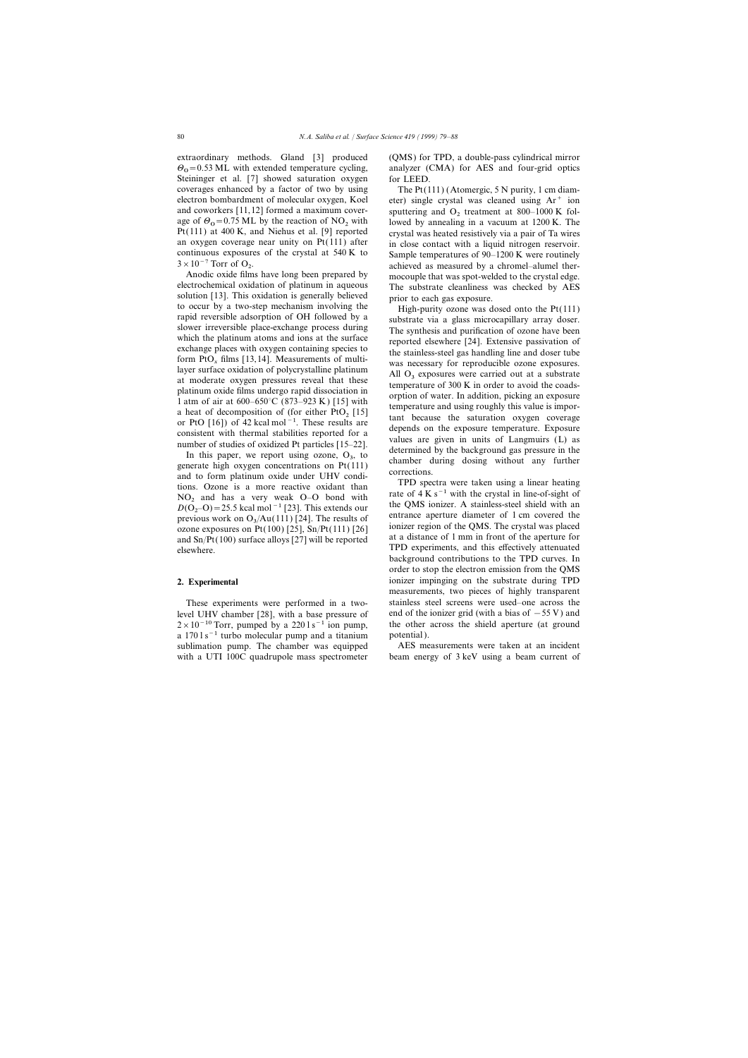extraordinary methods. Gland [3] produced (QMS) for TPD, a double-pass cylindrical mirror  $\Theta$ <sub>0</sub>=0.53 ML with extended temperature cycling, Steininger et al. [7] showed saturation oxygen for LEED. coverages enhanced by a factor of two by using The  $Pt(111)$  (Atomergic, 5 N purity, 1 cm diamage of  $\Theta_0$  = 0.75 ML by the reaction of NO<sub>2</sub> with Pt(111) at 400 K, and Niehus et al. [9] reported  $3 \times 10^{-7}$  Torr of O<sub>2</sub>.<br>Anodic oxide films have long been prepared by

Anodic oxide films have long been prepared by<br>
electrochemical oxidation of platinum in aqueous<br>
Solution [13]. This oxidation is generally believed<br>
to occur by a two-step mechanism involving the<br>
solution [13]. This oxi

In this paper, we report using ozone,  $O_3$ , to<br>generate high oxygen concentrations on Pt(111)<br>and to form platinum oxide under UHV condi-<br>tions. Ozone is a more reactive oxidant than<br>NO and has a very weak O.O bond with<br>  $TO<sub>2</sub>$  and has a very weak O–O bond with the CMS in the crystal in line-of-sight of  $D(O<sub>2</sub>-O) = 25.5$  kcal mol<sup>-1</sup> [23]. This extends our the QMS ionizer. A stainless-steel shield with an *previous work* on  $O_2$  (A previous work on  $O_3/Au(111)$  [24]. The results of ozone exposures on Pt(100) [25], Sn/Pt(111) [26] Figure 2.5 ozone exposures on Pt(100) [25], Sn/Pt(111) [26] ionizer region of the QMS. The crystal was placed<br>and Sn/Pt(100) surface alloys [27] will be reported<br>exported at a distance of 1 mm in front of the aperture for

level UHV chamber [28], with a base pressure of end of the ionizer grid (with a bias of  $-55$  V) and  $2 \times 10^{-10}$  Torr, pumped by a 220 l s<sup>-1</sup> ion pump, the other across the shield aperture (at ground a  $1701 s^{-1}$  turbo molecular pump and a titanium potential). sublimation pump. The chamber was equipped AES measurements were taken at an incident with a UTI 100C quadrupole mass spectrometer beam energy of 3 keV using a beam current of

analyzer (CMA) for AES and four-grid optics

electron bombardment of molecular oxygen, Koel eter) single crystal was cleaned using  $Ar^+$  ion and coworkers [11,12] formed a maximum cover-<br>sputtering and  $O_2$  treatment at 800–1000 K followed by annealing in a vacuum at 1200 K. The Pt(111) at 400 K, and Niehus et al. [9] reported crystal was heated resistively via a pair of Ta wires an oxygen coverage near unity on Pt(111) after in close contact with a liquid nitrogen reservoir. in close contact with a liquid nitrogen reservoir. continuous exposures of the crystal at 540 K to Sample temperatures of  $90-1200$  K were routinely . achieved as measured by a chromel–alumel ther-

background contributions to the TPD curves. In order to stop the electron emission from the QMS **2. Experimental** ionizer impinging on the substrate during TPD measurements, two pieces of highly transparent These experiments were performed in a two- stainless steel screens were used–one across the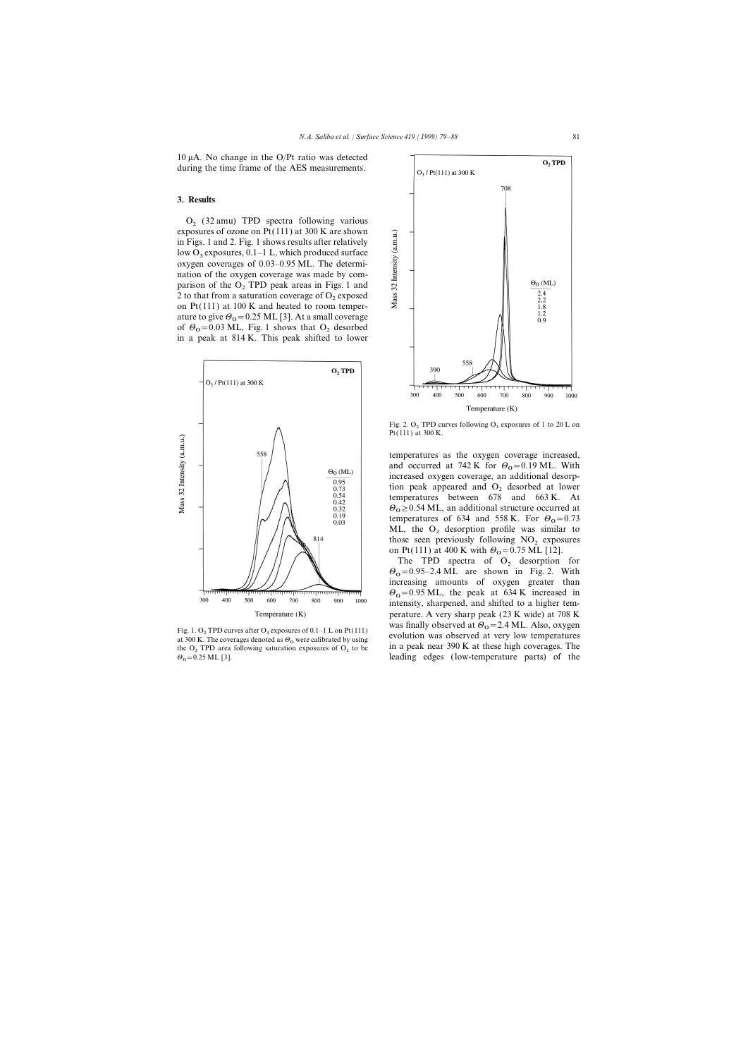$10 \mu A$ . No change in the O/Pt ratio was detected during the time frame of the AES measurements.

## **3. Results**

 $O<sub>2</sub>$  (32 amu) TPD spectra following various exposures of ozone on Pt(111) at 300 K are shown in Figs. 1 and 2. Fig. 1 shows results after relatively low  $O_3$  exposures, 0.1–1 L, which produced surface oxygen coverages of 0.03–0.95 ML. The determination of the oxygen coverage was made by comparison of the  $O<sub>2</sub>$  TPD peak areas in Figs. 1 and 2 to that from a saturation coverage of  $O_2$  exposed on Pt(111) at 100 K and heated to room temperature to give  $\theta_0 = 0.25$  ML [3]. At a small coverage of  $\Theta_0$ =0.03 ML, Fig. 1 shows that  $\Theta_2$  desorbed<br>in a real at 214 K. This reals shifted to lower in a peak at 814 K. This peak shifted to lower



the  $O_2$  TPD area following saturation exposures of  $O_2$  to be  $\theta_0 = 0.25$  ML [3].



Fig. 2.  $O_2$  TPD curves following  $O_3$  exposures of 1 to 20 L on Pt(111) at 300 K.

temperatures as the oxygen coverage increased, and occurred at 742 K for  $\Theta_0 = 0.19$  ML. With increased oxygen coverage, an additional desorption peak appeared and  $O<sub>2</sub>$  desorbed at lower temperatures between 678 and 663 K. At  $\Theta_0 \ge 0.54$  ML, an additional structure occurred at  $\Theta_0$ temperatures of 634 and 558 K. For  $\theta_{\rm o} = 0.73$ <br>M<sub>1</sub> the O decention profile was similar to ML, the  $O_2$  desorption profile was similar to those seen previously following  $NO<sub>2</sub>$  exposures on Pt(111) at 400 K with  $\Theta_0 = 0.75$  ML [12].

The TPD spectra of  $O_2$  desorption for  $\Theta_{\text{O}} = 0.95 - 2.4 \text{ ML}$  are shown in Fig. 2. With increasing amounts of oxygen greater than  $\Theta_{\text{O}} = 0.95 \text{ ML}$ , the peak at 634 K increased in intensity, sharpened, and shifted to a higher temperature. A very sharp peak (23 K wide) at 708 K was finally observed at  $\Theta_0$  = 2.4 ML. Also, oxygen Fig. 1. O<sub>2</sub> TPD curves after O<sub>3</sub> exposures of 0.1–1 L on Pt(111) at 300 K. The coverages denoted as  $\theta_0$  were calibrated by using evolution was observed at very low temperatures the O<sub>2</sub>. TPD area following saturation leading edges (low-temperature parts) of the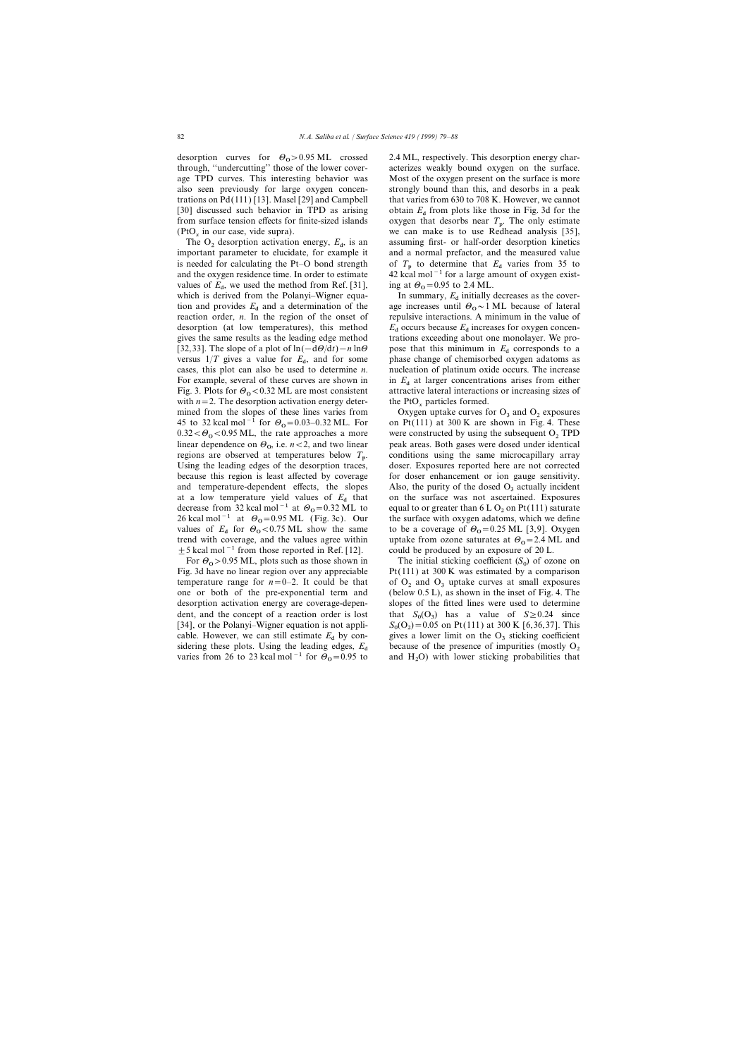desorption curves for  $\theta_0 > 0.95$  ML crossed<br>through, "undercutting" those of the lower coverfrom surface tension effects for finite-sized islands  $(PtO<sub>x</sub>$  in our case, vide supra).

The  $O_2$  desorption activation energy,  $E_d$ , is an important parameter to elucidate, for example it values of  $E_d$ , we used the method from Ref. [31], ing at  $\Theta_0$ <br>which is derived from the Belanci Wigner agus which is derived from the Polanyi–Wigner equa- In summary,  $E_d$  initially decreases as the coverreaction order, *n*. In the region of the onset of desorption (at low temperatures), this method  $E_d$  occurs because  $E_d$  increases for oxygen concen-<br>gives the same results as the leading edge method trations exceeding about one monolayer. We pro-[32,33]. The slope of a plot of ln( $-d\theta/dt$ )−*n* ln $\theta$  pose that this minimum in  $E_d$  corresponds to a versus  $1/T$  gives a value for  $E_d$ , and for some phase change of chemisorbed oxygen adatoms as cases, this plot can also be used to determine *n*. nucleation of platinum oxide occurs. The increase versus  $1/T$  gives a value for  $E_d$ , and for some For example, several of these curves are shown in  $E_d$  at larger concentrations arises from either Fig. 3. Plots for  $\Theta_0 < 0.32$  ML are most consistent with  $n=2$ . The desorption activation energy deter-<br>mined from the slopes of these lines varies from Oxygen uptake curves formed. 45 to 32 kcal mol<sup>-1</sup> for  $\Theta_0$ =0.03–0.32 ML. For on Pt(111) at 300 K are shown in Fig. 4. These  $0.32 \le \theta \le 0.05$  ML, the rate approaches a map. were constructed by using the subsequent O. TPD  $0.32 < \Theta_0 < 0.95$  ML, the rate approaches a more linear dependence on  $\Theta_0$ , i.e.  $n < 2$ , and two linear peak areas. Both gases were dosed under identical peak areas of the same mission is a special or expected at temperatures below  $T_{\text{eq}}$  conditions, wing the same regions are observed at temperatures below  $T_p$ .<br>Using the leading edges of the desorption traces, because this region is least affected by coverage for doser enhancement or ion gauge sensitivity. and temperature-dependent effects, the slopes Also, the purity of the dosed  $O_3$  actually incident at a low temperature yield values of  $E_d$  that on the surface was not ascertained. Exposures decrease from 32 kcal mol<sup>−1</sup> at  $\Theta_0$ =0.32 ML to equal to or greater than 6 L O<sub>2</sub> on Pt(111) saturate  $26$  keel mol<sup>−1</sup> at  $\Theta_0$  =0.95 ML (Fig. 20). Our the outforce with outcome address with we define 26 kcal mol<sup>-1</sup> at  $\Theta_0$ =0.95 ML (Fig. 3c). Our values of  $E_d$  for  $\Theta_o < 0.75$  ML show the same to be a coverage of  $\Theta_o = 0.25$  ML [3,9]. Oxygen trand with express and the values agree within the value from exame attention of 2.4 ML and trend with coverage, and the values agree within uptake from ozone saturates at  $\theta_0 = 2.4$  M<br>  $\pm$  5 kcal mol<sup>-1</sup> from those reported in Ref. [12]. could be produced by an exposure of 20 L.  $±$  5 kcal mol<sup>-1</sup> from those reported in Ref. [12].

For  $\theta_0 > 0.95$  ML, plots such as those shown in The initial sticking coefficient  $(S_0$ dent, and the concept of a reaction order is lost

2.4 ML, respectively. This desorption energy characterizes weakly bound oxygen on the surface. age TPD curves. This interesting behavior was Most of the oxygen present on the surface is more also seen previously for large oxygen concen- strongly bound than this, and desorbs in a peak trations on Pd(111) [13]. Masel [29] and Campbell that varies from 630 to 708 K. However, we cannot [30] discussed such behavior in TPD as arising obtain  $E<sub>d</sub>$  from plots like those in Fig. 3d for the oxygen that desorbs near  $T_p$ . The only estimate we can make is to use Redhead analysis  $[35]$ , assuming first- or half-order desorption kinetics and a normal prefactor, and the measured value is needed for calculating the Pt–O bond strength of  $T_p$  to determine that  $E_d$  varies from 35 to and the oxygen residence time. In order to estimate  $42$  kcal mol<sup>-1</sup> for a large amount of oxygen exist-42 kcal mol<sup>-1</sup> for a large amount of oxygen existing at  $\Theta_0$  = 0.95 to 2.4 ML.

tion and provides  $E_d$  and a determination of the age increases until  $\Theta_0 \sim 1$  ML because of lateral reaction order, *n*. In the region of the onset of repulsive interactions. A minimum in the value of age increases until  $\Theta_0 \sim 1$  ML because of lateral trations exceeding about one monolayer. We pronucleation of platinum oxide occurs. The increase attractive lateral interactions or increasing sizes of

> Oxygen uptake curves for  $O_3$  and  $O_2$  exposures on Pt(111) at 300 K are shown in Fig. 4. These were constructed by using the subsequent  $O_2$  TPD peak areas. Both gases were dosed under identical . conditions using the same microcapillary array doser. Exposures reported here are not corrected on the surface was not ascertained. Exposures equal to or greater than  $6 L O_2$  on  $Pt(111)$  saturate the surface with oxygen adatoms, which we define uptake from ozone saturates at  $\Theta_0$  = 2.4 ML and

The initial sticking coefficient  $(S_0)$  of ozone on Fig. 3d have no linear region over any appreciable Pt(111) at 300 K was estimated by a comparison temperature range for  $n=0-2$ . It could be that of  $O_2$  and  $O_3$  uptake curves at small exposures one or both of the pre-exponential term and (below 0.5 L), as shown in the inset of Fig. 4. The (below  $0.5$  L), as shown in the inset of Fig. 4. The desorption activation energy are coverage-depen- slopes of the fitted lines were used to determine that  $S_0(O_3)$  has a value of  $S \ge 0.24$  since [34], or the Polanyi–Wigner equation is not appli-<br>cable. However, we can still estimate  $E_d$  by con-<br>gives a lower limit on the  $O_3$  sticking coefficient  $(O_2) = 0.05$  on Pt(111) at 300 K [6,36,37]. This cable. However, we can still estimate  $E_d$  by con-<br>sidering the o<sub>3</sub> sticking coefficient sidering these plots. Using the leading edges,  $E_d$  because of the presence of impurities (mostly  $O_2$ ) sidering these plots. Using the leading edges,  $E_d$  because of the presence of impurities (mostly O<sub>2</sub> varies from 26 to 23 kcal mol<sup>-1</sup> for  $\Theta_0$ =0.95 to and H<sub>2</sub>O) with lower sticking probabilities that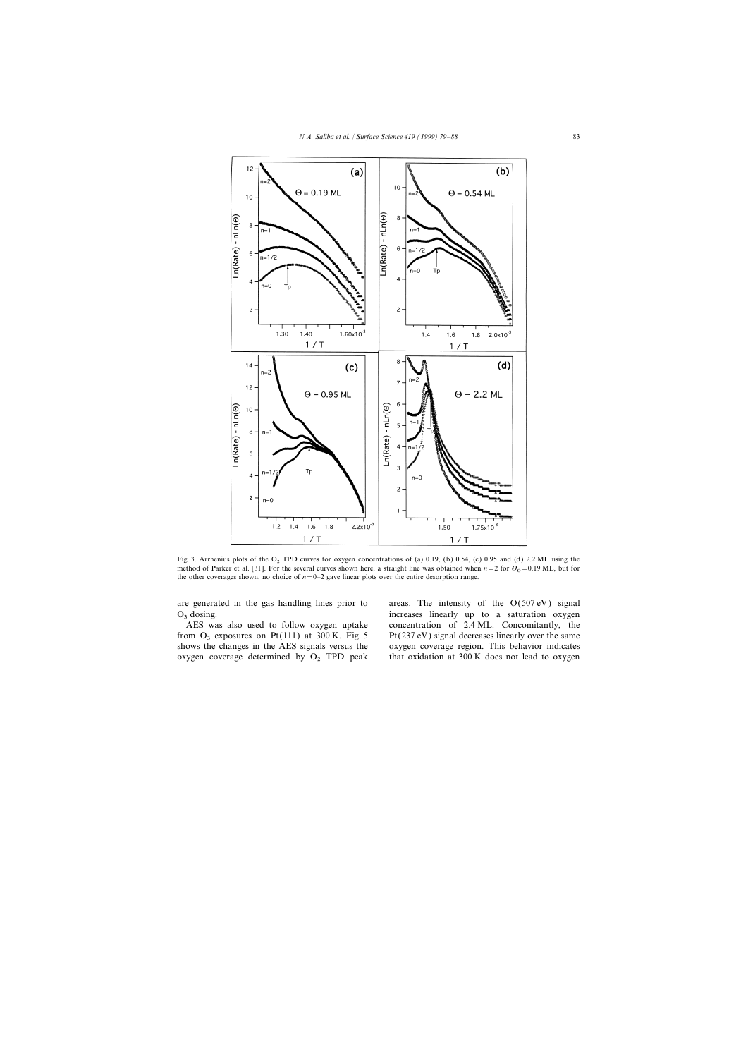

Fig. 3. Arrhenius plots of the O<sub>2</sub> TPD curves for oxygen concentrations of (a) 0.19, (b) 0.54, (c) 0.95 and (d) 2.2 ML using the method of Parker et al. [31]. For the several curves shown here, a straight line was obtained when  $n=2$  for  $\Theta_0 = 0.19$  ML, but for the other coverages shown, no choice of  $n=0-2$  gave linear plots over the entire desorption range.

from  $O_3$  exposures on Pt(111) at 300 K. Fig. 5 Pt(237 eV) signal decreases linearly over the same shows the changes in the AES signals versus the oxygen coverage region. This behavior indicates oxygen coverage determined by  $O_2$  TPD peak that oxidation at 300 K does not lead to oxygen

are generated in the gas handling lines prior to areas. The intensity of the  $O(507 \text{ eV})$  signal  $O_3$  dosing.<br>AES was also used to follow oxygen uptake concentration of 2.4 ML. Concomitantly, the concentration of 2.4 ML. Concomitantly, the oxygen coverage region. This behavior indicates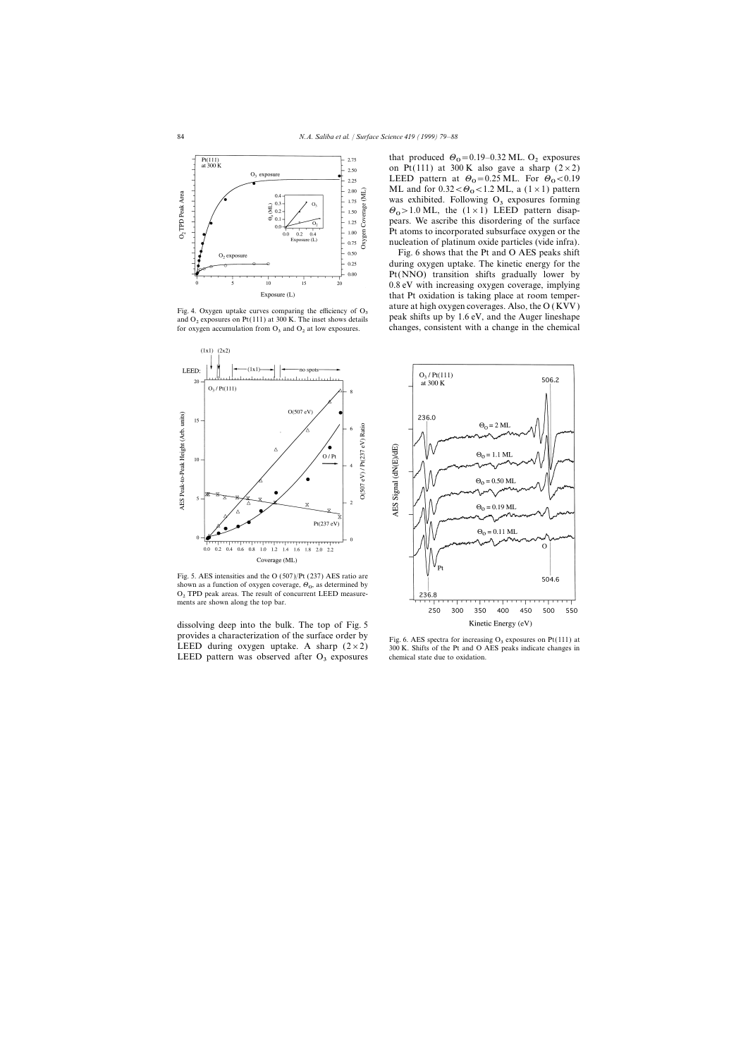



Fig. 5. AES intensities and the O (507)/Pt (237) AES ratio are shown as a function of oxygen coverage,  $\Theta_0$ , as determined by<br>O. TPD usels agency. The world of assumption LEED magnus O<sub>2</sub> TPD peak areas. The result of concurrent LEED measurements are shown along the top bar.

dissolving deep into the bulk. The top of Fig. 5 provides a characterization of the surface order by Fig. 6. AES spectra for increasing  $O_3$  exposures on Pt(111) at LEED during oxygen uptake. A sharp (2×2) 300 K. Shifts of the Pt and O AES peaks indicate changes in LEED pattern was observed after  $O_3$  exposures chemical state due to oxidation.

that produced  $\Theta_0 = 0.19 - 0.32$  ML.  $\Theta_2$  exposures on Pt(111) at 300 K also gave a sharp  $(2 \times 2)$ LEED pattern at  $\Theta_0 = 0.25$  ML. For  $\Theta_0 < 0.19$ <br>ML and for 0.22 < 0.10 ML a (1.1.1) pattern ML and for  $0.32 < \Theta_0 < 1.2$  ML, a  $(1 \times 1)$  pattern<br>west subjected. Following  $\Omega$ , expecting forming was exhibited. Following  $O<sub>3</sub>$  exposures forming  $\Theta_{\text{O}} > 1.0 \text{ ML}$ , the (1×1) LEED pattern disap-<br>neare We assume this disappening of the surface pears. We ascribe this disordering of the surface Pt atoms to incorporated subsurface oxygen or the nucleation of platinum oxide particles (vide infra).

Fig. 6 shows that the Pt and O AES peaks shift during oxygen uptake. The kinetic energy for the Pt(NNO) transition shifts gradually lower by 0.8 eV with increasing oxygen coverage, implying that Pt oxidation is taking place at room temper-Fig. 4. Oxygen uptake curves comparing the efficiency of  $O_3$  at ure at high oxygen coverages. Also, the O (KVV) peak shifts up by 1.6 eV, and the Auger lineshape for oxygen accumulation from  $O_3$  and  $O_2$  at low expos changes, consistent with a change in the chemical

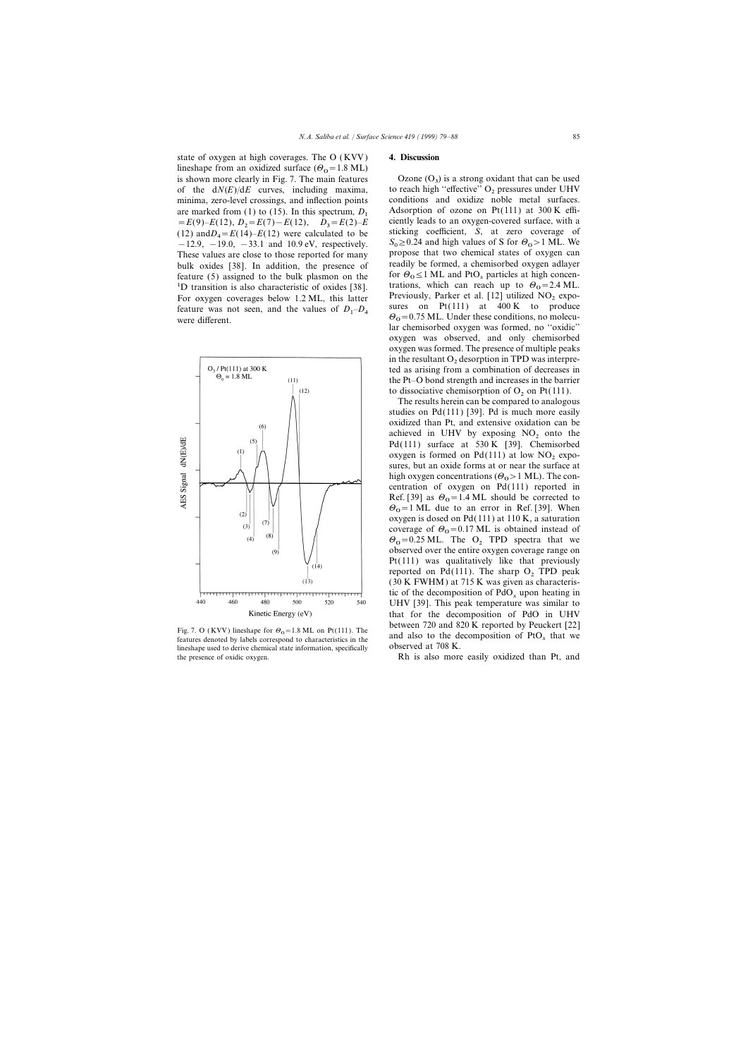state of oxygen at high coverages. The O ( KVV ) **4. Discussion** lineshape from an oxidized surface  $(\theta_0 = 1.8 \text{ ML})$ is shown more clearly in Fig. 7. The main features  $Ozone (O<sub>3</sub>)$  is a strong oxidant that can be used<br>of the  $dN(E)/dE$  curves, including maxima, to reach high "effective"  $O<sub>2</sub>$  pressures under UHV minima, zero-level crossings, and inflection points are marked from (1) to (15). In this spectrum,  $D_1$  Adsorption of ozone on Pt(111) at 300 K effi-<br>=  $E(9) - E(12)$ ,  $D_2 = E(7) - E(12)$ ,  $D_3 = E(2) - E$  ciently leads to an oxygen-covered surface, with a<br>(12) and  $D = E(14) - E(13)$ (12) and  $D_4 = E(14) - E(12)$  were calculated to be  $-12.9, -19.0, -33.1$  and 10.9 eV, respectively.<br>These values are close to those reported for many bulk oxides [38]. In addition, the presence of readily be formed, a chemisorbed oxygen adlayer feature (5) assigned to the bulk plasmon on the tor  $\theta_0 \le 1$  ML and PtO<sub>x</sub> particles at high concen-<br><sup>1</sup>D transition is also characteristic of oxides [38]. Tor oxygen coverages below 1.2 ML, this latter Previously, Park sures on Pt(111) at 400 K to produce feature was not seen, and the values of *<sup>D</sup>*<sup>1</sup> feature was not seen, and the values of  $D_1 - D_4$ 



Fig. 7. O (KVV) inteshape for  $U_0 = 1.6$  ML on Pt(111). The and also to the decomposition of PtO<sub>x</sub> that we lineshape used to derive chemical state information, specifically observed at 708 K. the presence of oxidic oxygen. Rh is also more easily oxidized than Pt, and

to reach high "effective" O<sub>2</sub> pressures under UHV conditions and oxidize noble metal surfaces. sticking coefficient, *S*, at zero coverage of  $S_0 \ge 0.24$  and high values of S for  $\Theta_0 > 1$  ML. We propose that two chemical states of oxygen can for  $\Theta_0 \le 1$  ML and PtO<sub>x</sub> particles at high concen-Previously, Parker et al. [12] utilized  $NO<sub>2</sub>$  expo- $\theta_0$  = 0.75 ML. Under these conditions, no molecular chemisorbed oxygen was formed, no ''oxidic'' oxygen was observed, and only chemisorbed oxygen was formed. The presence of multiple peaks in the resultant  $O<sub>2</sub>$  desorption in TPD was interpreted as arising from a combination of decreases in the Pt–O bond strength and increases in the barrier to dissociative chemisorption of  $O_2$  on Pt(111).

The results herein can be compared to analogous studies on  $Pd(111)$  [39]. Pd is much more easily oxidized than Pt, and extensive oxidation can be achieved in UHV by exposing  $NO<sub>2</sub>$  onto the Pd(111) surface at 530 K [39]. Chemisorbed oxygen is formed on  $Pd(111)$  at low  $NO<sub>2</sub>$  exposures, but an oxide forms at or near the surface at high oxygen concentrations  $(\Theta_0 > 1 \text{ ML})$ . The con-<br>contration of guysen on  $R_0(111)$  generated in centration of oxygen on Pd(111) reported in Ref. [39] as  $\theta_0 = 1.4$  ML should be corrected to  $\theta_0 = 1$ . When  $\Theta_0 = 1$  ML due to an error in Ref. [39]. When<br>express is deed an Ref. (111) at 110 K, a seturation oxygen is dosed on Pd(111) at 110 K, a saturation coverage of  $\Theta_0 = 0.17$  ML is obtained instead of  $\Theta_{\text{o}} = 0.25 \text{ ML}$ . The  $\Theta_{2}$  TPD spectra that we observed over the entire oxygen coverage range on Pt(111) was qualitatively like that previously reported on Pd(111). The sharp  $O_2$  TPD peak (30 K FWHM) at 715 K was given as characteristic of the decomposition of  $PdO_x$  upon heating in UHV [39]. This peak temperature was similar to that for the decomposition of PdO in UHV Fig. 7. O (KVV) lineshape for  $\theta_0 = 1.8$  ML on Pt(111). The between 720 and 820 K reported by Peuckert [22] and also to the decomposition of PtO<sub>x</sub> that we are the decomposition of PtO<sub>x</sub> that we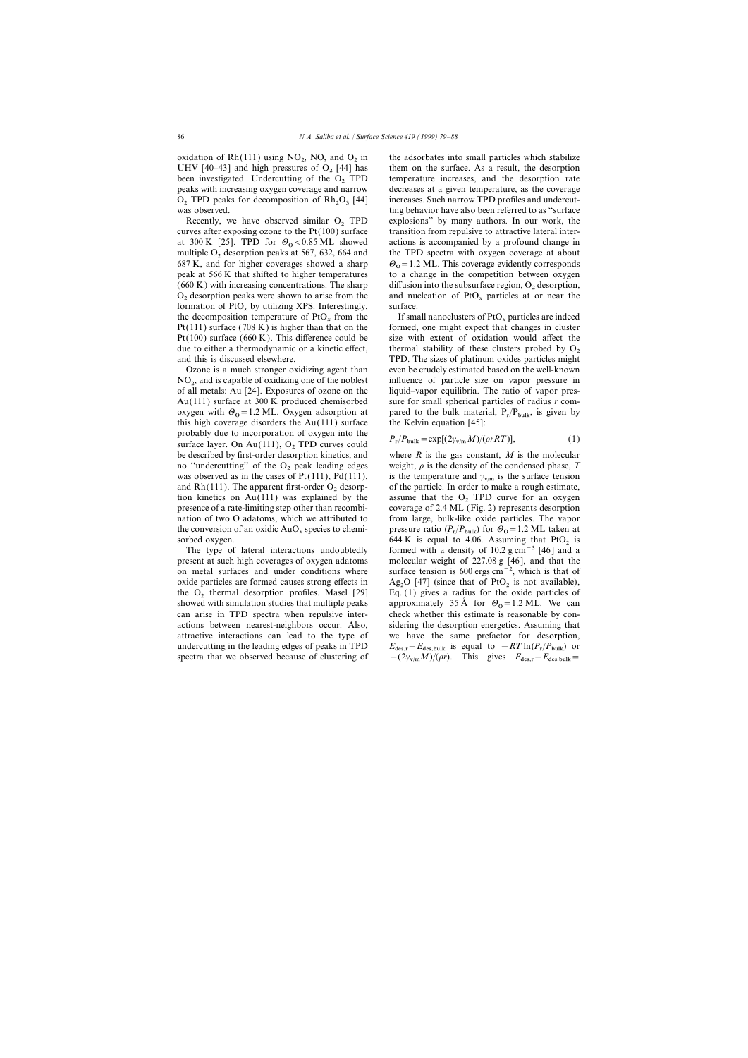oxidation of  $Rh(111)$  using  $NO_2$ , NO, and  $O_2$  in peaks with increasing oxygen coverage and narrow  $O_2$  TPD peaks for decomposition of  $Rh_2O_3$  [44] was observed.

curves after exposing ozone to the  $Pt(100)$  surface at 300 K [25]. TPD for  $\Theta_0 < 0.85$  ML showed peak at  $566 \text{ K}$  that shifted to higher temperatures formation of PtO<sub>x</sub> by utilizing XPS. Interestingly, the decomposition temperature of PtO<sub>x</sub> from the Pt(111) surface (708 K) is higher than that on the Pt(100) surface (660 K). This difference could be size with extent of oxidation would affect the due to either a thermodynamic or a kinetic effect, thermal stability of these clusters probed by  $O_2$  and this is discussed elsewhere. TPD. The sizes of platinum oxides particles might

 $NO<sub>2</sub>$ , and is capable of oxidizing one of the noblest influence of particle size on vapor pressure in  $\epsilon$ <sub>0</sub> il mately  $\Lambda$ <sub>1</sub> [24]. Expressive a f approximately  $\epsilon$ <sub>0</sub>  $\epsilon$ <sub>0</sub>  $\epsilon$ <sub>0</sub>  $\epsilon$ <sub>0</sub>  $\epsilon$ <sub>0</sub>  $\epsilon$ <sub>0</sub>  $\epsilon$ <sub></sub> oxygen with  $\Theta_0 = 1.2$  ML. Oxygen adsorption at pared to the bulk material,  $P_r$ <br>this high equation disorders the Au(111) surface the Velvin equation [45]. this high coverage disorders the Au(111) surface the Kelvin equation [45]: probably due to incorporation of oxygen into the *P<sub>r</sub>*/ $P_{\text{bulk}} = \exp[(2\gamma_{\text{v/m}}M)/(\rho rRT)]$ , (1) surface layer. On Au(111), O<sub>2</sub> TPD curves could *P<sub>r</sub>*/ $P_{\text{bulk}} = \exp[(2\gamma_{\text{v/m}}M)/(\rho rRT)]$ , (1) was observed as in the cases of  $Pt(111)$ ,  $Pd(111)$ , and Rh(111). The apparent first-order  $O_2$  desorp-<br>tion kinetics on Au(111) was explained by the assume that the  $O_2$  TPD curve for an oxygen

present at such high coverages of oxygen adatoms molecular weight of 227.08 g [46], and that the on metal surfaces and under conditions where surface tension is 600 ergs cm−2, which is that of oxide particles are formed causes strong effects in Ag<sub>2</sub>O [47] (since that of PtO<sub>2</sub> is not available), the O<sub>2</sub> thermal desorption profiles. Masel [29] Eq. (1) gives a radius for the oxide particles of the  $O_2$  thermal desorption profiles. Masel [29] showed with simulation studies that multiple peaks can arise in TPD spectra when repulsive interactions between nearest-neighbors occur. Also, sidering the desorption energetics. Assuming that attractive interactions can lead to the type of we have the same prefactor for desorption, undercutting in the leading edges of peaks in TPD spectra that we observed because of clustering of

the adsorbates into small particles which stabilize them on the surface. As a result, the desorption UHV [40–43] and high pressures of  $O_2$  [44] has them on the surface. As a result, the desorption been investigated. Undercutting of the  $O_2$  TPD temperature increases, and the desorption rate been investigated. Undercutting of the  $O_2$  TPD temperature increases, and the desorption rate peaks with increasing oxygen coverage and narrow decreases at a given temperature, as the coverage increases. Such narrow TPD profiles and undercutting behavior have also been referred to as "surface" Recently, we have observed similar  $O_2$  TPD explosions" by many authors. In our work, the rves after exposing ozone to the Pt(100) surface transition from repulsive to attractive lateral interactions is accompanied by a profound change in multiple  $O_2$  desorption peaks at 567, 632, 664 and the TPD spectra with oxygen coverage at about 687 K, and for higher coverages showed a sharp  $\Theta_0 = 1.2$  ML. This coverage evidently corresponds peak at 566 K that shifted to higher temperatures to a change in the competition between oxygen  $\theta$ <sub>0</sub> = 1.2 ML. This coverage evidently corresponds (660 K) with increasing concentrations. The sharp diffusion into the subsurface region,  $O_2$  desorption,  $O_2$  desorption peaks were shown to arise from the and nucleation of PtO<sub>x</sub> particles at or near the and nucleation of  $PtO_x$  particles at or near the surface.

If small nanoclusters of  $P_1O_x$  particles are indeed formed, one might expect that changes in cluster Ozone is a much stronger oxidizing agent than even be crudely estimated based on the well-known of all metals: Au [24]. Exposures of ozone on the liquid–vapor equilibria. The ratio of vapor pres-Au(111) surface at 300 K produced chemisorbed sure for small spherical particles of radius *r* compared to the bulk material,  $P_r/P_{bulk}$ , is given by

$$
P_r/P_{\text{bulk}} = \exp[(2\gamma_{\text{v/m}}M)/(\rho rRT)],\tag{1}
$$

be described by first-order desorption kinetics, and where *R* is the gas constant, *M* is the molecular no "undercutting" of the  $O_2$  peak leading edges weight,  $\rho$  is the density of the condensed phase,  $T$ is the temperature and  $\gamma_{\rm v/m}$  is the surface tension tion kinetics on Au(111) was explained by the assume that the  $O_2$  TPD curve for an oxygen presence of a rate-limiting step other than recombi-<br>coverage of 2.4 ML (Fig. 2) represents desorption coverage of  $2.4$  ML (Fig. 2) represents desorption nation of two O adatoms, which we attributed to from large, bulk-like oxide particles. The vapor the conversion of an oxidic AuO<sub>x</sub> species to chemi-<br>  $\frac{f_{A} A V}{f_{A} B}$  for  $\theta_{0} = 1.2$  ML taken at  $\frac{f_{A} A V}{f_{A} B}$  is sound to  $\frac{f_{A} O}{f_{A}}$  asymptotic that PtO sorbed oxygen.<br>The type of lateral interactions undoubtedly formed with a density of 10.2 g cm<sup>-3</sup> [46] and a formed with a density of 10.2 g cm<sup>-3</sup> [46] and a Ag<sub>2</sub>O [47] (since that of  $P<sub>t</sub>O<sub>2</sub>$  is not available), approximately 35 Å for  $\Theta_0 = 1.2$  ML. We can check whether this estimate is reasonable by con- $E_{\text{des,r}} - E_{\text{des,bulk}}$  is equal to  $-RT \ln(P_r/P_{\text{bulk}})$  or spectra that we observed because of clustering of  $-(2\gamma_{\text{v/m}}M)/(\rho r)$ . This gives  $E_{\text{des,r}}-E_{\text{des,bulk}}=$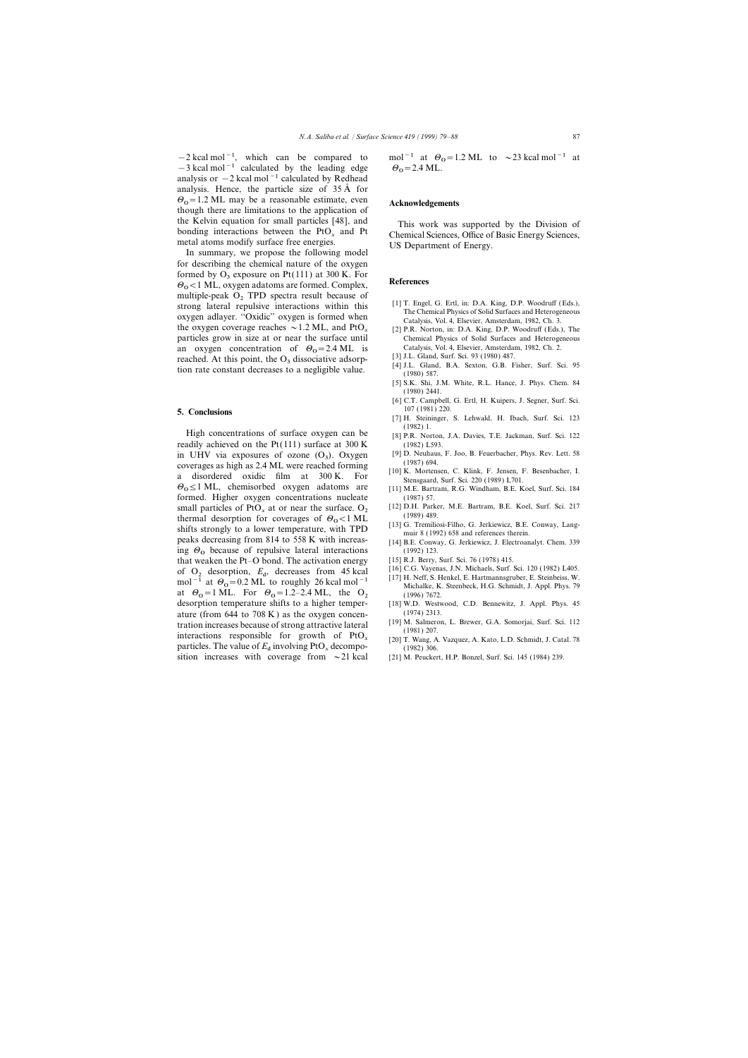$-2$  kcal mol<sup>-1</sup>, which can be compared to mol<sup>-1</sup> at  $\theta_0$ <br>-3 kcal mol<sup>-1</sup> calculated by the leading edge  $\theta_0 = 2.4$  ML.  $-3$  kcal mol<sup>-1</sup> calculated by the leading edge analysis or  $-2$  kcal mol<sup>-1</sup> calculated by Redhead analysis. Hence, the particle size of  $35 \text{ Å}$  for  $\theta_0$ =1.2 ML may be a reasonable estimate, even  $\mathcal{O}_0 = 1.2$  ML may be a reasonable estimate, even **Acknowledgements** though there are limitations to the application of the Kelvin equation for small particles [48], and<br>bonding interactions between the PtO<sub>x</sub> and Pt<br>metal atoms modify surface free energies.<br>In summary, we propose the following model<br>In summary, we propose the following mo

for describing the chemical nature of the oxygen formed by  $O_3$  exposure on Pt(111) at 300 K. For  $\Theta_0 < 1$  ML, oxygen adatoms are formed. Complex, **References** multiple-peak  $O_2$  TPD spectra result because of strong lateral repulsive interactions within this Example From a repulsive interactions within this strong lateral repulsive interactions within this energy of  $\alpha$  and  $\beta$  in the Chemical Physics of Solid Surfaces and Heterogeneous Catalysis, Vol. 4, Elsevier, Amsterda particles grow in size at or near the surface until Chemical Physics of Solid Surfaces and Heterogeneous concentration of  $\theta_{0} = 2.4 \text{ ML}$  is Catalysis, Vol. 4, Elsevier, Amsterdam, 1982, Ch. 2. an oxygen concentration of  $\Theta_0 = 2.4 \text{ ML}$  is Catalysis, Vol. 4, Elsevier, Amsterdam, 1982, Ch. 2.  $\text{Q}$ reached. At this point, the  $O_3$  dissociative adsorp-<br>tion rate constant decreases to a negligible value. (1980) 587.<br>(1980) 587.

High concentrations of surface oxygen can be [8] P.R. Norton, J.A. Davies, T.E. Jackman, Surf. Sci. 122 readily achieved on the Pt(111) surface at  $300 \text{ K}$  (1982) L593. in UHV via exposures of ozone  $(O_3)$ . Oxygen [9] D. Neuhaus, F. Joo, B. Feuerbacher, Phys. Rev. Lett. 58 in UHV via exposures of ozone (O<sub>3</sub>). Oxygen [9] D. Neuhaus, F. Joo, B. Feuerbacher, Phys. Rev. Lett. 58 coverages as high as 2.4 ML were reached forming (1987) 694.<br>
a disordered oxidic film at 300 K. For Stensgaard, Surf. Sci. 220 (1989) L701.  $\Theta_0 \le 1$  ML, chemisorbed oxygen adatoms are [11] M.E. Bartram, R.G. Windham, B.E. Koel, Surf. Sci. 184 formed. Higher oxygen concentrations nucleate (1987) 57.<br>
small particles of PtO at or near the surface O<sub>2</sub> [12] D.H. Parker, M.E. Bartram, B.E. Koel, Surf. Sci. 217 small particles of PtO<sub>x</sub> at or near the surface. O<sub>2</sub> [12] D.H. Parker, M.E. Bartram, B.E. Koel, Surf. Sci. 217<br>thermal desorption for coverages of  $\Theta_0 < 1$  ML <sup>(1989) 489.</sup><br>this strengly to a lower temperature with TPD entimal description for coverages of  $\sigma_0$  <br/>s Find [13] G. Tremiliosi-Filho, G. Jerkiewicz, B.E. Conway, Lang-<br>peaks decreasing from 814 to 558 K with increas-<br>[14] B.E. Conway, G. Jerkiewicz, J. Electroanalyt. Chem. ing  $\Theta_0$  because of repulsive lateral interactions (1992) 123.<br>
that weaken the Pt-O bond. The activation energy [15] R.J. Berry, Surf. Sci. 76 (1978) 415. that weaken the Pt–O bond. The activation energy [15] R.J. Berry, Surf. Sci. 76 (1978) 415.<br>
of O description E decreases from 45 koal [16] C.G. Vayenas, J.N. Michaels, Surf. Sci. 120 (1982) L405. of  $O_2$  desorption,  $E_d$ , decreases from 45 kcal  $[16]$  C.G. Vayenas, J.N. Michaels, Surf. Sci. 120 (1982) L405. of  $[17]$  H. Neff, S. Henkel, E. Hartmannsgruber, E. Steinbeiss, W. mol<sup>-1</sup> at  $\theta_0$ =0.2 ML to roughly 26 kcal mol<sup>-1</sup> at Hartmanns in Michalke, K.<br>at  $\theta_0$ =1 ML. For  $\theta_0$ =1.2–2.4 ML, the  $\theta_2$  (1996) 7672. at  $\Theta_0 = 1$  ML. For  $\Theta_0 = 1.2$ –2.4 ML, the  $\Theta_2$  (1996) 7672. desorption temperature shifts to a higher temper- [18] W.D. Westwood, C.D. Bennewitz, J. Appl. Phys. 45 ature (from 644 to 708 K) as the oxygen concen-<br>tration increases because of strong attractive lateral [19] M. Salmeron, L. Brewer, G.A. Somorjai, Surf. Sci. 112 tration increases because of strong attractive lateral interactions<br>interactions responsible for growth of  $PtO_x$ <br>particles. The value of  $E_d$  involving  $PtO_x$  decompo-<br>sition increases with coverage from  $\sim$  21 kcal [21 sition increases with coverage from  $\sim$  21 kcal

mol<sup>-1</sup> at  $\Theta_0$ =1.2 ML to ~23 kcal mol<sup>-1</sup> at

- 
- 
- 
- 
- [5] S.K. Shi, J.M. White, R.L. Hance, J. Phys. Chem. 84 (1980) 2441.
- [6] C.T. Campbell, G. Ertl, H. Kuipers, J. Segner, Surf. Sci. 107 (1981) 220. **5. Conclusions**
	- [7] H. Steininger, S. Lehwald, H. Ibach, Surf. Sci. 123
	-
	-
	-
	-
	-
	-
	-
	-
	-
	- Michalke, K. Steenbeck, H.G. Schmidt, J. Appl. Phys. 79
	-
	-
	-
	-